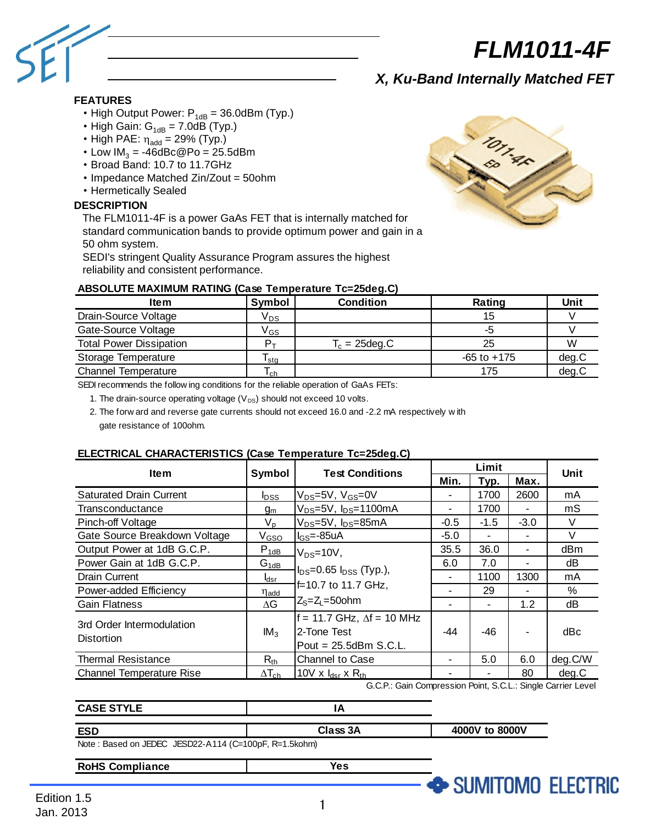

# *X, Ku-Band Internally Matched FET*

## **FEATURES**

- High Output Power:  $P_{1dB} = 36.0$ dBm (Typ.)
- High Gain:  $G_{1dB} = 7.0dB$  (Typ.)
- High PAE:  $\eta_{\text{add}} = 29\%$  (Typ.)
- Low  $IM<sub>3</sub> = -46dBc@Po = 25.5dBm$
- Broad Band: 10.7 to 11.7GHz
- Impedance Matched Zin/Zout = 50ohm
- Hermetically Sealed

#### **DESCRIPTION**

The FLM1011-4F is a power GaAs FET that is internally matched for standard communication bands to provide optimum power and gain in a 50 ohm system.

SEDI's stringent Quality Assurance Program assures the highest reliability and consistent performance.

| ABSOLUTE MAXIMUM RATING (Case Temperature Tc=25deg.C)                                       |                            |                  |                 |             |  |  |
|---------------------------------------------------------------------------------------------|----------------------------|------------------|-----------------|-------------|--|--|
| <b>Item</b>                                                                                 | Symbol                     | Condition        | Rating          | <b>Unit</b> |  |  |
| Drain-Source Voltage                                                                        | V <sub>DS</sub>            |                  | 15              |             |  |  |
| Gate-Source Voltage                                                                         | $\mathsf{V}_{\mathsf{GS}}$ |                  | -5              |             |  |  |
| <b>Total Power Dissipation</b>                                                              | $P_{\rm T}$                | $T_c = 25$ deg.C | 25              | W           |  |  |
| Storage Temperature                                                                         | l sta                      |                  | $-65$ to $+175$ | deg.C       |  |  |
| <b>Channel Temperature</b>                                                                  | I ch                       |                  | 175             | deq.C       |  |  |
| SEDI recommends the following conditions for the reliable operation of $C_2 \wedge e$ EFTs: |                            |                  |                 |             |  |  |

SEDI recommends the follow ing conditions for the reliable operation of GaAs FETs:

1. The drain-source operating voltage  $(V_{DS})$  should not exceed 10 volts.

 2. The forw ard and reverse gate currents should not exceed 16.0 and -2.2 mA respectively w ith gate resistance of 100ohm.

### **ELECTRICAL CHARACTERISTICS (Case Temperature Tc=25deg.C)**

| <b>Item</b>                                    | Symbol           | <b>Test Conditions</b>                                                         | Limit                    |        |                          |             |
|------------------------------------------------|------------------|--------------------------------------------------------------------------------|--------------------------|--------|--------------------------|-------------|
|                                                |                  |                                                                                | Min.                     | Typ.   | Max.                     | <b>Unit</b> |
| <b>Saturated Drain Current</b>                 | <b>I</b> pss     | V <sub>DS</sub> =5V, V <sub>GS</sub> =0V                                       | $\overline{\phantom{0}}$ | 1700   | 2600                     | mA          |
| Transconductance                               | $g_m$            | V <sub>DS</sub> =5V, I <sub>DS</sub> =1100mA                                   | ۰                        | 1700   |                          | mS          |
| <b>Pinch-off Voltage</b>                       | $V_{p}$          | V <sub>DS</sub> =5V, I <sub>DS</sub> =85mA                                     | $-0.5$                   | $-1.5$ | $-3.0$                   | V           |
| Gate Source Breakdown Voltage                  | V <sub>GSO</sub> | $IGS=-85uA$                                                                    | $-5.0$                   | ٠      | $\overline{\phantom{0}}$ | $\vee$      |
| Output Power at 1dB G.C.P.                     | $P_{1dB}$        | $V_{DS}=10V$ ,                                                                 | 35.5                     | 36.0   | ٠                        | dBm         |
| Power Gain at 1dB G.C.P.                       | $G_{1dB}$        |                                                                                | 6.0                      | 7.0    |                          | dΒ          |
| <b>Drain Current</b>                           | l <sub>dsr</sub> | $IDS=0.65 IDSS$ (Typ.),<br>f=10.7 to 11.7 GHz,                                 | ٠                        | 1100   | 1300                     | mA          |
| Power-added Efficiency                         | η <sub>add</sub> |                                                                                |                          | 29     |                          | %           |
| <b>Gain Flatness</b>                           | $\Delta G$       | $Z_s = Z_l = 50$ ohm                                                           | ۰                        | ۰      | 1.2                      | dB          |
| 3rd Order Intermodulation<br><b>Distortion</b> | IM <sub>3</sub>  | $f = 11.7$ GHz, $\Delta f = 10$ MHz<br>2-Tone Test<br>Pout = $25.5$ dBm S.C.L. | $-44$                    | -46    | ٠                        | dBc         |
| <b>Thermal Resistance</b>                      | $R_{th}$         | <b>Channel to Case</b>                                                         | ٠                        | 5.0    | 6.0                      | deg.C/W     |
| <b>Channel Temperature Rise</b>                | $\Delta T_{ch}$  | 10V x $I_{dsr}$ x $R_{th}$                                                     | ٠                        |        | 80                       | deg.C       |
|                                                |                  | G.C.P.: Gain Compression Point, S.C.L.: Single Carrier Level                   |                          |        |                          |             |
| <b>CASE STYLE</b>                              |                  | ΙA                                                                             |                          |        |                          |             |

| <b>CASE STYLE</b>                                                                                                                                                                                                                                                                                                               |          |                |
|---------------------------------------------------------------------------------------------------------------------------------------------------------------------------------------------------------------------------------------------------------------------------------------------------------------------------------|----------|----------------|
| <b>ESD</b>                                                                                                                                                                                                                                                                                                                      | Class 3A | 4000V to 8000V |
| $\frac{1}{2}$ $\frac{1}{2}$ $\frac{1}{2}$ $\frac{1}{2}$ $\frac{1}{2}$ $\frac{1}{2}$ $\frac{1}{2}$ $\frac{1}{2}$ $\frac{1}{2}$ $\frac{1}{2}$ $\frac{1}{2}$ $\frac{1}{2}$ $\frac{1}{2}$ $\frac{1}{2}$ $\frac{1}{2}$ $\frac{1}{2}$ $\frac{1}{2}$ $\frac{1}{2}$ $\frac{1}{2}$ $\frac{1}{2}$ $\frac{1}{2}$ $\frac{1}{2}$<br>$\cdots$ |          |                |

Note : Based on JEDEC JESD22-A114 (C=100pF, R=1.5kohm)

**RoHS Compliance**

**Yes**



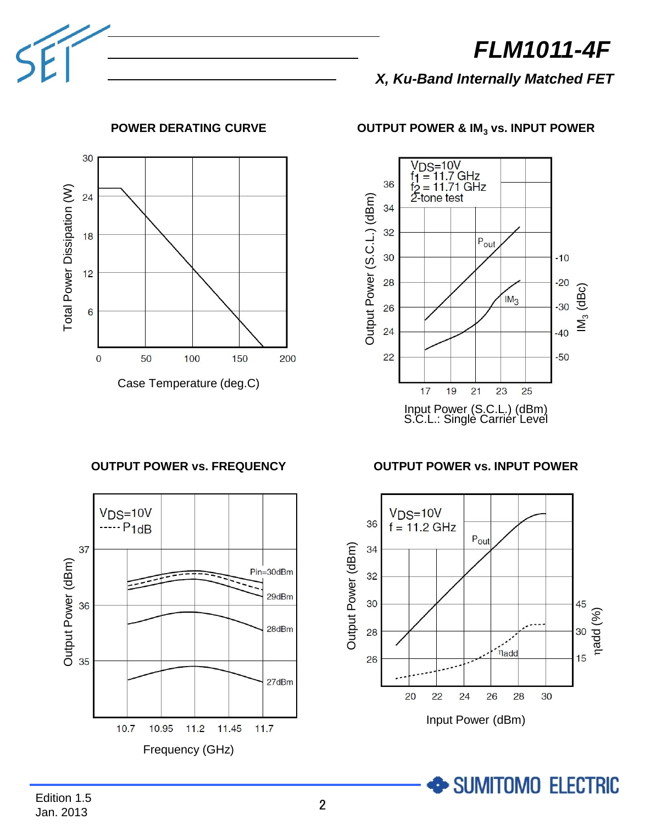*X, Ku-Band Internally Matched FET*



# **POWER DERATING CURVE**

**OUTPUT POWER vs. FREQUENCY**



# **OUTPUT POWER & IM<sup>3</sup> vs. INPUT POWER**



## **OUTPUT POWER vs. INPUT POWER**



SUMITOMO ELECTRIC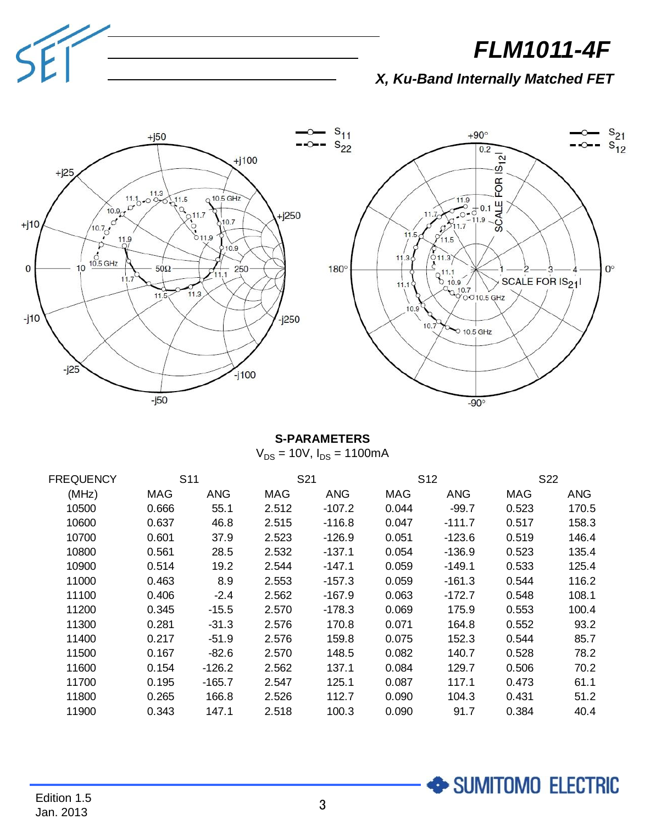

SUMITOMO ELECTRIC

*X, Ku-Band Internally Matched FET*



## **S-PARAMETERS**  $V_{DS}$  = 10V,  $I_{DS}$  = 1100mA

| FREQUENCY | S <sub>11</sub> |            | S <sub>21</sub> |            | S <sub>12</sub> |          | S <sub>22</sub> |       |
|-----------|-----------------|------------|-----------------|------------|-----------------|----------|-----------------|-------|
| (MHz)     | MAG             | <b>ANG</b> | MAG             | <b>ANG</b> | MAG             | ANG      | MAG             | ANG   |
| 10500     | 0.666           | 55.1       | 2.512           | $-107.2$   | 0.044           | $-99.7$  | 0.523           | 170.5 |
| 10600     | 0.637           | 46.8       | 2.515           | $-116.8$   | 0.047           | $-111.7$ | 0.517           | 158.3 |
| 10700     | 0.601           | 37.9       | 2.523           | $-126.9$   | 0.051           | $-123.6$ | 0.519           | 146.4 |
| 10800     | 0.561           | 28.5       | 2.532           | $-137.1$   | 0.054           | $-136.9$ | 0.523           | 135.4 |
| 10900     | 0.514           | 19.2       | 2.544           | $-147.1$   | 0.059           | $-149.1$ | 0.533           | 125.4 |
| 11000     | 0.463           | 8.9        | 2.553           | -157.3     | 0.059           | $-161.3$ | 0.544           | 116.2 |
| 11100     | 0.406           | $-2.4$     | 2.562           | -167.9     | 0.063           | $-172.7$ | 0.548           | 108.1 |
| 11200     | 0.345           | $-15.5$    | 2.570           | -178.3     | 0.069           | 175.9    | 0.553           | 100.4 |
| 11300     | 0.281           | $-31.3$    | 2.576           | 170.8      | 0.071           | 164.8    | 0.552           | 93.2  |
| 11400     | 0.217           | $-51.9$    | 2.576           | 159.8      | 0.075           | 152.3    | 0.544           | 85.7  |
| 11500     | 0.167           | $-82.6$    | 2.570           | 148.5      | 0.082           | 140.7    | 0.528           | 78.2  |
| 11600     | 0.154           | -126.2     | 2.562           | 137.1      | 0.084           | 129.7    | 0.506           | 70.2  |
| 11700     | 0.195           | $-165.7$   | 2.547           | 125.1      | 0.087           | 117.1    | 0.473           | 61.1  |
| 11800     | 0.265           | 166.8      | 2.526           | 112.7      | 0.090           | 104.3    | 0.431           | 51.2  |
| 11900     | 0.343           | 147.1      | 2.518           | 100.3      | 0.090           | 91.7     | 0.384           | 40.4  |

SE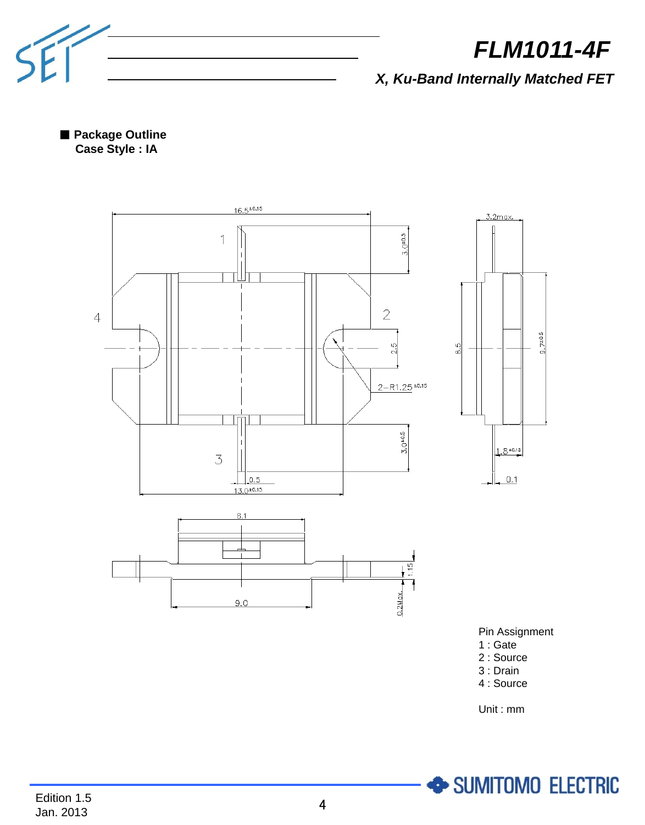

*X, Ku-Band Internally Matched FET*

■ **Package Outline Case Style : IA**



4 : Source

Unit : mm

SUMITOMO ELECTRIC